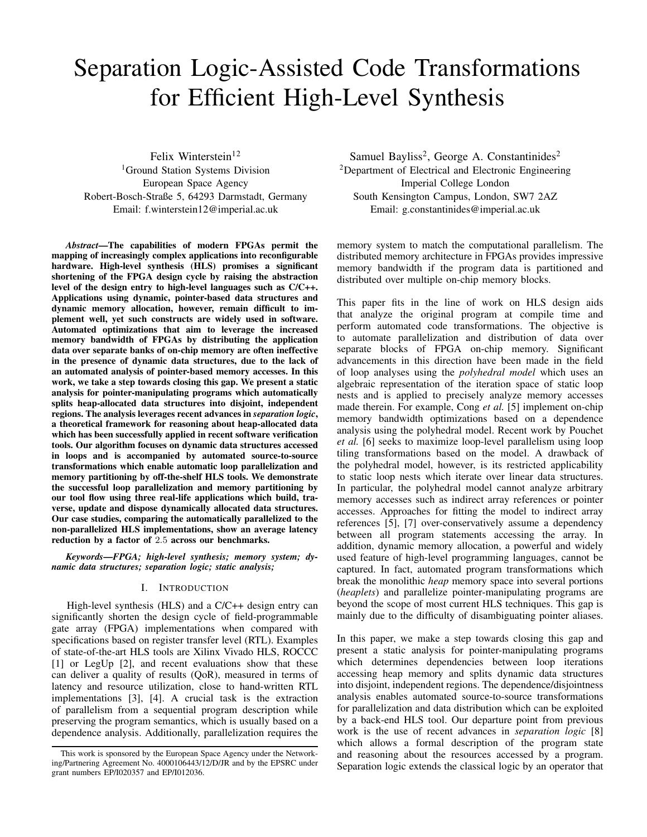# Separation Logic-Assisted Code Transformations for Efficient High-Level Synthesis

Felix Winterstein<sup>12</sup> <sup>1</sup>Ground Station Systems Division European Space Agency Robert-Bosch-Straße 5, 64293 Darmstadt, Germany Email: f.winterstein12@imperial.ac.uk

*Abstract*—The capabilities of modern FPGAs permit the mapping of increasingly complex applications into reconfigurable hardware. High-level synthesis (HLS) promises a significant shortening of the FPGA design cycle by raising the abstraction level of the design entry to high-level languages such as C/C++. Applications using dynamic, pointer-based data structures and dynamic memory allocation, however, remain difficult to implement well, yet such constructs are widely used in software. Automated optimizations that aim to leverage the increased memory bandwidth of FPGAs by distributing the application data over separate banks of on-chip memory are often ineffective in the presence of dynamic data structures, due to the lack of an automated analysis of pointer-based memory accesses. In this work, we take a step towards closing this gap. We present a static analysis for pointer-manipulating programs which automatically splits heap-allocated data structures into disjoint, independent regions. The analysis leverages recent advances in *separation logic*, a theoretical framework for reasoning about heap-allocated data which has been successfully applied in recent software verification tools. Our algorithm focuses on dynamic data structures accessed in loops and is accompanied by automated source-to-source transformations which enable automatic loop parallelization and memory partitioning by off-the-shelf HLS tools. We demonstrate the successful loop parallelization and memory partitioning by our tool flow using three real-life applications which build, traverse, update and dispose dynamically allocated data structures. Our case studies, comparing the automatically parallelized to the non-parallelized HLS implementations, show an average latency reduction by a factor of 2.5 across our benchmarks.

*Keywords*—*FPGA; high-level synthesis; memory system; dynamic data structures; separation logic; static analysis;*

# I. INTRODUCTION

High-level synthesis (HLS) and a C/C++ design entry can significantly shorten the design cycle of field-programmable gate array (FPGA) implementations when compared with specifications based on register transfer level (RTL). Examples of state-of-the-art HLS tools are Xilinx Vivado HLS, ROCCC [1] or LegUp [2], and recent evaluations show that these can deliver a quality of results (QoR), measured in terms of latency and resource utilization, close to hand-written RTL implementations [3], [4]. A crucial task is the extraction of parallelism from a sequential program description while preserving the program semantics, which is usually based on a dependence analysis. Additionally, parallelization requires the

Samuel Bayliss<sup>2</sup>, George A. Constantinides<sup>2</sup> <sup>2</sup>Department of Electrical and Electronic Engineering Imperial College London South Kensington Campus, London, SW7 2AZ Email: g.constantinides@imperial.ac.uk

memory system to match the computational parallelism. The distributed memory architecture in FPGAs provides impressive memory bandwidth if the program data is partitioned and distributed over multiple on-chip memory blocks.

This paper fits in the line of work on HLS design aids that analyze the original program at compile time and perform automated code transformations. The objective is to automate parallelization and distribution of data over separate blocks of FPGA on-chip memory. Significant advancements in this direction have been made in the field of loop analyses using the *polyhedral model* which uses an algebraic representation of the iteration space of static loop nests and is applied to precisely analyze memory accesses made therein. For example, Cong *et al.* [5] implement on-chip memory bandwidth optimizations based on a dependence analysis using the polyhedral model. Recent work by Pouchet *et al.* [6] seeks to maximize loop-level parallelism using loop tiling transformations based on the model. A drawback of the polyhedral model, however, is its restricted applicability to static loop nests which iterate over linear data structures. In particular, the polyhedral model cannot analyze arbitrary memory accesses such as indirect array references or pointer accesses. Approaches for fitting the model to indirect array references [5], [7] over-conservatively assume a dependency between all program statements accessing the array. In addition, dynamic memory allocation, a powerful and widely used feature of high-level programming languages, cannot be captured. In fact, automated program transformations which break the monolithic *heap* memory space into several portions (*heaplets*) and parallelize pointer-manipulating programs are beyond the scope of most current HLS techniques. This gap is mainly due to the difficulty of disambiguating pointer aliases.

In this paper, we make a step towards closing this gap and present a static analysis for pointer-manipulating programs which determines dependencies between loop iterations accessing heap memory and splits dynamic data structures into disjoint, independent regions. The dependence/disjointness analysis enables automated source-to-source transformations for parallelization and data distribution which can be exploited by a back-end HLS tool. Our departure point from previous work is the use of recent advances in *separation logic* [8] which allows a formal description of the program state and reasoning about the resources accessed by a program. Separation logic extends the classical logic by an operator that

This work is sponsored by the European Space Agency under the Networking/Partnering Agreement No. 4000106443/12/D/JR and by the EPSRC under grant numbers EP/I020357 and EP/I012036.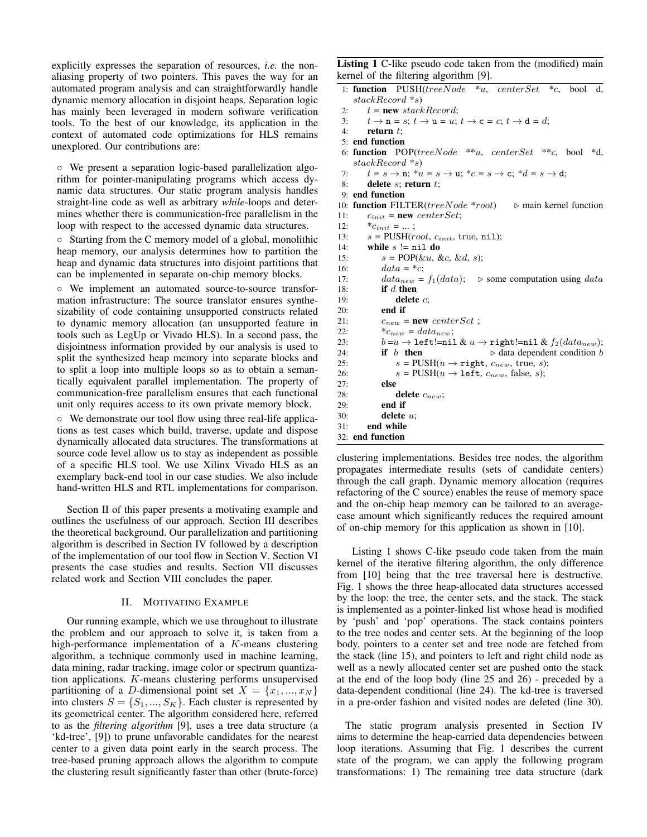explicitly expresses the separation of resources, *i.e.* the nonaliasing property of two pointers. This paves the way for an automated program analysis and can straightforwardly handle dynamic memory allocation in disjoint heaps. Separation logic has mainly been leveraged in modern software verification tools. To the best of our knowledge, its application in the context of automated code optimizations for HLS remains unexplored. Our contributions are:

◦ We present a separation logic-based parallelization algorithm for pointer-manipulating programs which access dynamic data structures. Our static program analysis handles straight-line code as well as arbitrary *while*-loops and determines whether there is communication-free parallelism in the loop with respect to the accessed dynamic data structures.

◦ Starting from the C memory model of a global, monolithic heap memory, our analysis determines how to partition the heap and dynamic data structures into disjoint partitions that can be implemented in separate on-chip memory blocks.

◦ We implement an automated source-to-source transformation infrastructure: The source translator ensures synthesizability of code containing unsupported constructs related to dynamic memory allocation (an unsupported feature in tools such as LegUp or Vivado HLS). In a second pass, the disjointness information provided by our analysis is used to split the synthesized heap memory into separate blocks and to split a loop into multiple loops so as to obtain a semantically equivalent parallel implementation. The property of communication-free parallelism ensures that each functional unit only requires access to its own private memory block.

◦ We demonstrate our tool flow using three real-life applications as test cases which build, traverse, update and dispose dynamically allocated data structures. The transformations at source code level allow us to stay as independent as possible of a specific HLS tool. We use Xilinx Vivado HLS as an exemplary back-end tool in our case studies. We also include hand-written HLS and RTL implementations for comparison.

Section II of this paper presents a motivating example and outlines the usefulness of our approach. Section III describes the theoretical background. Our parallelization and partitioning algorithm is described in Section IV followed by a description of the implementation of our tool flow in Section V. Section VI presents the case studies and results. Section VII discusses related work and Section VIII concludes the paper.

# II. MOTIVATING EXAMPLE

Our running example, which we use throughout to illustrate the problem and our approach to solve it, is taken from a high-performance implementation of a K-means clustering algorithm, a technique commonly used in machine learning, data mining, radar tracking, image color or spectrum quantization applications. K-means clustering performs unsupervised partitioning of a D-dimensional point set  $X = \{x_1, ..., x_N\}$ into clusters  $S = \{S_1, ..., S_K\}$ . Each cluster is represented by its geometrical center. The algorithm considered here, referred to as the *filtering algorithm* [9], uses a tree data structure (a 'kd-tree', [9]) to prune unfavorable candidates for the nearest center to a given data point early in the search process. The tree-based pruning approach allows the algorithm to compute the clustering result significantly faster than other (brute-force) Listing 1 C-like pseudo code taken from the (modified) main kernel of the filtering algorithm [9].

- 1: function PUSH(treeNode \*u, centerSet \*c, bool d, stackRecord \*s) 2:  $t = new stackRecord;$
- 3:  $t \to n = s$ ;  $t \to u = u$ ;  $t \to c = c$ ;  $t \to d = d$ ;
- 4: return  $t$ :
- 5: end function
- 6: function  $POP(treeNode **u, centerSet **c, bool *d,$ stackRecord \*s)
- 7:  $t = s \rightarrow \textbf{n}$ ;  $^*u = s \rightarrow \textbf{u}$ ;  $^*c = s \rightarrow \textbf{c}$ ;  $^*d = s \rightarrow \textbf{d}$ ;

8: delete  $s$ ; return  $t$ ;

9: end function

- 10: **function** FILTER(*treeNode* \*root)  $\triangleright$  main kernel function 11:  $c_{init}$  = new centerSet;
- 12: \*<br/>  $\displaystyle{ \raisebox{0.6ex}{\scriptsize{*}}} c_{init} = \dots$  ;
- 13:  $s = \text{PUSH}(root, c_{init}, \text{true}, \text{nil});$
- 14: while  $s$  != nil do
- 15:  $s = POP(\&u, \&c, \&d, s);$
- 16:  $data = *c$ ;
- 17:  $data_{new} = f_1(data);$   $\triangleright$  some computation using data

18: if  $d$  then

19: **delete**  $c$ : 20: end if

- 
- 21:  $c_{new}$  = new centerSet;
- 22:  $\underset{23}{\ast c_{new}} = data_{new};$ <br>  $h = u \rightarrow left! = ni$
- $b = u \rightarrow \text{left}!= \text{nil} \& u \rightarrow \text{right}!= \text{nil} \& f_2(data_{new});$ <br> **if**  $b$  **then**  $\triangleright$  data dependent condition  $b$ 24: **if** b **then**  $\triangleright$  data dependent condition b 25:  $s = \text{PUSH}(u \rightarrow \text{right}, c_{new}, \text{true}, s);$ 26:  $s = \text{PUSH}(u \rightarrow \text{left}, c_{new}, \text{false}, s);$ 27: else 28: **delete**  $c_{new}$ ;
- 29: end if
- 30: delete u;
- 31: end while
- 32: end function

clustering implementations. Besides tree nodes, the algorithm propagates intermediate results (sets of candidate centers) through the call graph. Dynamic memory allocation (requires refactoring of the C source) enables the reuse of memory space and the on-chip heap memory can be tailored to an averagecase amount which significantly reduces the required amount of on-chip memory for this application as shown in [10].

Listing 1 shows C-like pseudo code taken from the main kernel of the iterative filtering algorithm, the only difference from [10] being that the tree traversal here is destructive. Fig. 1 shows the three heap-allocated data structures accessed by the loop: the tree, the center sets, and the stack. The stack is implemented as a pointer-linked list whose head is modified by 'push' and 'pop' operations. The stack contains pointers to the tree nodes and center sets. At the beginning of the loop body, pointers to a center set and tree node are fetched from the stack (line 15), and pointers to left and right child node as well as a newly allocated center set are pushed onto the stack at the end of the loop body (line 25 and 26) - preceded by a data-dependent conditional (line 24). The kd-tree is traversed in a pre-order fashion and visited nodes are deleted (line 30).

The static program analysis presented in Section IV aims to determine the heap-carried data dependencies between loop iterations. Assuming that Fig. 1 describes the current state of the program, we can apply the following program transformations: 1) The remaining tree data structure (dark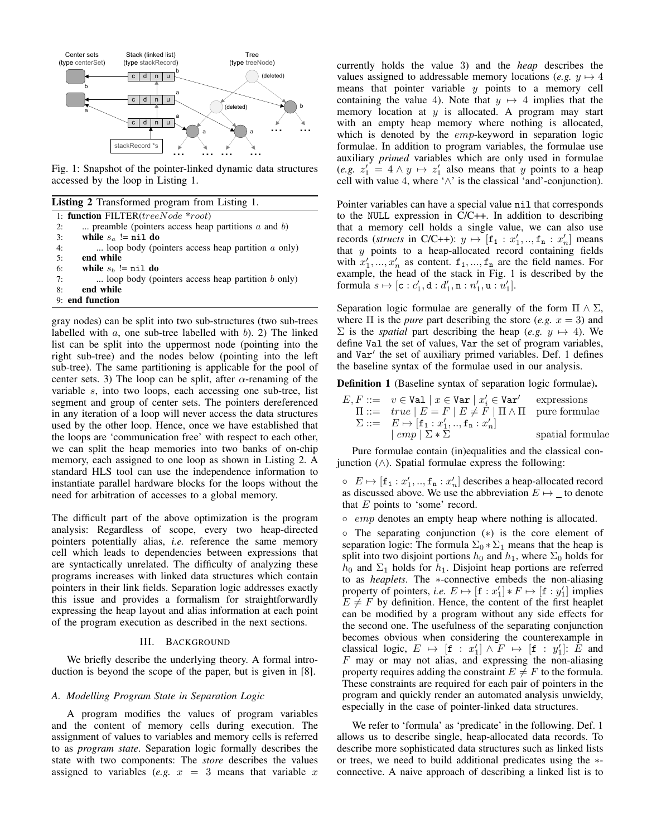

Fig. 1: Snapshot of the pointer-linked dynamic data structures accessed by the loop in Listing 1.

| <b>Listing 2</b> Transformed program from Listing 1.           |
|----------------------------------------------------------------|
| 1: function $\text{FILTER}(treeNode * root)$                   |
| preamble (pointers access heap partitions $a$ and $b$ )<br>2:  |
| while $s_a := \text{nil}$ do<br>3:                             |
| 4:<br>loop body (pointers access heap partition $\alpha$ only) |
| 5:<br>end while                                                |
| while $s_b$ != nil do<br>6:                                    |
| loop body (pointers access heap partition $b$ only)<br>7:      |
| end while<br>8:                                                |
| 9: end function                                                |
|                                                                |

gray nodes) can be split into two sub-structures (two sub-trees labelled with  $a$ , one sub-tree labelled with  $b$ ). 2) The linked list can be split into the uppermost node (pointing into the right sub-tree) and the nodes below (pointing into the left sub-tree). The same partitioning is applicable for the pool of center sets. 3) The loop can be split, after  $\alpha$ -renaming of the variable s, into two loops, each accessing one sub-tree, list segment and group of center sets. The pointers dereferenced in any iteration of a loop will never access the data structures used by the other loop. Hence, once we have established that the loops are 'communication free' with respect to each other, we can split the heap memories into two banks of on-chip memory, each assigned to one loop as shown in Listing 2. A standard HLS tool can use the independence information to instantiate parallel hardware blocks for the loops without the need for arbitration of accesses to a global memory.

The difficult part of the above optimization is the program analysis: Regardless of scope, every two heap-directed pointers potentially alias, *i.e.* reference the same memory cell which leads to dependencies between expressions that are syntactically unrelated. The difficulty of analyzing these programs increases with linked data structures which contain pointers in their link fields. Separation logic addresses exactly this issue and provides a formalism for straightforwardly expressing the heap layout and alias information at each point of the program execution as described in the next sections.

#### III. BACKGROUND

We briefly describe the underlying theory. A formal introduction is beyond the scope of the paper, but is given in [8].

# *A. Modelling Program State in Separation Logic*

A program modifies the values of program variables and the content of memory cells during execution. The assignment of values to variables and memory cells is referred to as *program state*. Separation logic formally describes the state with two components: The *store* describes the values assigned to variables (*e.g.*  $x = 3$  means that variable x

currently holds the value 3) and the *heap* describes the values assigned to addressable memory locations (*e.g.*  $y \mapsto 4$ means that pointer variable  $y$  points to a memory cell containing the value 4). Note that  $y \mapsto 4$  implies that the memory location at  $y$  is allocated. A program may start with an empty heap memory where nothing is allocated, which is denoted by the *emp*-keyword in separation logic formulae. In addition to program variables, the formulae use auxiliary *primed* variables which are only used in formulae  $(e.g. z'_1 = 4 \wedge y \mapsto z'_1$  also means that y points to a heap cell with value 4, where ' $\wedge$ ' is the classical 'and'-conjunction).

Pointer variables can have a special value nil that corresponds to the NULL expression in C/C++. In addition to describing that a memory cell holds a single value, we can also use records (*structs* in C/C++):  $y \mapsto [f_1 : x'_1, ..., f_n : x'_n]$  means that  $y$  points to a heap-allocated record containing fields with  $x'_1, ..., x'_n$  as content.  $f_1, ..., f_n$  are the field names. For example, the head of the stack in Fig. 1 is described by the formula  $s \mapsto [c : c'_1, d : d'_1, n : n'_1, u : u'_1].$ 

Separation logic formulae are generally of the form  $\Pi \wedge \Sigma$ , where  $\Pi$  is the *pure* part describing the store (*e.g.*  $x = 3$ ) and  $\Sigma$  is the *spatial* part describing the heap (*e.g.*  $y \mapsto 4$ ). We define Val the set of values, Var the set of program variables, and Var' the set of auxiliary primed variables. Def. 1 defines the baseline syntax of the formulae used in our analysis.

Definition 1 (Baseline syntax of separation logic formulae).

 $E, F ::= v \in \mathtt{Val} \mid x \in \mathtt{Var} \mid x'_i \in \mathtt{Var}'$ expressions  $\Pi ::= true | E = F | E \neq F | \Pi \wedge \Pi$  pure formulae  $\Sigma ::= E \mapsto [\mathtt{f_1} : x_1', .., \mathtt{f_n} : x_n']$  $\vert \,emp \, \vert \, \Sigma * \Sigma$  spatial formulae

Pure formulae contain (in)equalities and the classical conjunction  $(∧)$ . Spatial formulae express the following:

 $\infty$   $E \mapsto [\mathbf{f_1} : x_1', ..., \mathbf{f_n} : x_n']$  describes a heap-allocated record as discussed above. We use the abbreviation  $E \mapsto$  to denote that  $E$  points to 'some' record.

• *emp* denotes an empty heap where nothing is allocated.

◦ The separating conjunction (∗) is the core element of separation logic: The formula  $\Sigma_0 * \Sigma_1$  means that the heap is split into two disjoint portions  $h_0$  and  $h_1$ , where  $\Sigma_0$  holds for  $h_0$  and  $\Sigma_1$  holds for  $h_1$ . Disjoint heap portions are referred to as *heaplets*. The ∗-connective embeds the non-aliasing property of pointers, *i.e.*  $E \mapsto [\mathbf{f} : x_1'] * F \mapsto [\mathbf{f} : y_1']$  implies  $E \neq F$  by definition. Hence, the content of the first heaplet can be modified by a program without any side effects for the second one. The usefulness of the separating conjunction becomes obvious when considering the counterexample in classical logic,  $E \mapsto [\mathbf{f} : x_1'] \wedge F \mapsto [\mathbf{f} : y_1'] : \tilde{E}$  and  $F$  may or may not alias, and expressing the non-aliasing property requires adding the constraint  $E \neq F$  to the formula. These constraints are required for each pair of pointers in the program and quickly render an automated analysis unwieldy, especially in the case of pointer-linked data structures.

We refer to 'formula' as 'predicate' in the following. Def. 1 allows us to describe single, heap-allocated data records. To describe more sophisticated data structures such as linked lists or trees, we need to build additional predicates using the ∗ connective. A naive approach of describing a linked list is to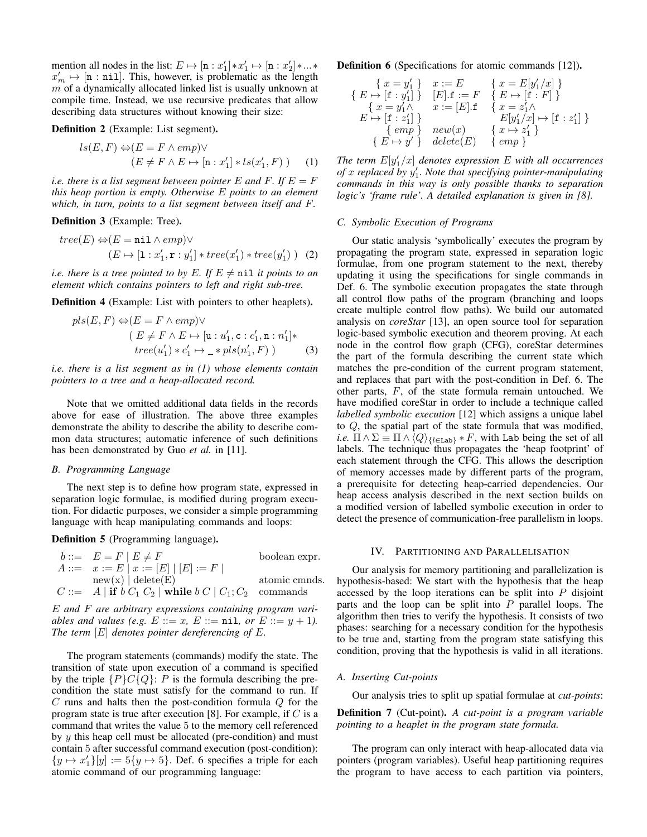mention all nodes in the list:  $E \mapsto [\mathbf{n} : x_1'] * x_1' \mapsto [\mathbf{n} : x_2'] * ... *$  $x'_m \mapsto$  [n : nil]. This, however, is problematic as the length  $m$  of a dynamically allocated linked list is usually unknown at compile time. Instead, we use recursive predicates that allow describing data structures without knowing their size:

Definition 2 (Example: List segment).

$$
ls(E, F) \Leftrightarrow (E = F \land emp) \lor (E \neq F \land E \mapsto [\mathbf{n} : x_1'] * ls(x_1', F))
$$
(1)

*i.e. there is a list segment between pointer*  $E$  *and*  $F$ *. If*  $E = F$ *this heap portion is empty. Otherwise* E *points to an element which, in turn, points to a list segment between itself and* F*.*

Definition 3 (Example: Tree).

$$
tree(E) \Leftrightarrow (E = \text{nil} \land emp) \lor
$$
  

$$
(E \mapsto [1 : x_1', \mathbf{r} : y_1'] * tree(x_1') * tree(y_1')) \quad (2)
$$

*i.e. there is a tree pointed to by E. If*  $E \neq \text{nil}$  *it points to an element which contains pointers to left and right sub-tree.*

Definition 4 (Example: List with pointers to other heaplets).

$$
pls(E, F) \Leftrightarrow (E = F \wedge emp) \vee
$$
  
\n
$$
(E \neq F \wedge E \mapsto [\mathbf{u} : u_1', \mathbf{c} : c_1', \mathbf{n} : n_1'] *
$$
  
\n
$$
tree(u_1') * c_1' \mapsto \_ * pls(n_1', F) )
$$
\n(3)

*i.e. there is a list segment as in (1) whose elements contain pointers to a tree and a heap-allocated record.*

Note that we omitted additional data fields in the records above for ease of illustration. The above three examples demonstrate the ability to describe the ability to describe common data structures; automatic inference of such definitions has been demonstrated by Guo *et al.* in [11].

# *B. Programming Language*

The next step is to define how program state, expressed in separation logic formulae, is modified during program execution. For didactic purposes, we consider a simple programming language with heap manipulating commands and loops:

Definition 5 (Programming language).

 $b ::= E = F | E \neq F$  boolean expr.  $A ::= x := E | x := [E | | E] := F |$  $new(x) | delete(E)$  atomic cmnds.  $C ::= A | \textbf{if } b C_1 C_2 | \textbf{while } b C | C_1; C_2 \textbf{ commands}$ 

E *and* F *are arbitrary expressions containing program variables and values (e.g.*  $E ::= x, E ::= \text{nil}, or E ::= y + 1)$ . *The term* [E] *denotes pointer dereferencing of* E*.*

The program statements (commands) modify the state. The transition of state upon execution of a command is specified by the triple  $\{P\}C\{Q\}$ : P is the formula describing the precondition the state must satisfy for the command to run. If  $C$  runs and halts then the post-condition formula  $Q$  for the program state is true after execution [8]. For example, if  $C$  is a command that writes the value 5 to the memory cell referenced by  $y$  this heap cell must be allocated (pre-condition) and must contain 5 after successful command execution (post-condition):  $\{y \mapsto x_1'\}[y] := 5\{y \mapsto 5\}$ . Def. 6 specifies a triple for each atomic command of our programming language:

**Definition 6** (Specifications for atomic commands [12]).

$$
\label{eq:system} \begin{array}{ll} \left\{ \begin{array}{ll} x=y_1' \\\ \end{array} \right\} & x:=E & \left\{ \begin{array}{ll} x=E[y_1'/x] \\\ \end{array} \right\} \\ \left\{ \begin{array}{ll} E\mapsto [\mathbf{f}:y_1'] \\\ \end{array} \right\} & [E].\mathbf{f}:=F & \left\{ \begin{array}{ll} E\mapsto [\mathbf{f}:F] \\\ \end{array} \right\} \\ \left\{ \begin{array}{ll} x=y_1'\wedge & x:=[E].\mathbf{f} & \left\{ \begin{array}{ll} x=z_1'\wedge \\ \end{array} \right. \\ E\mapsto [\mathbf{f}:z_1'] \left. \right\} & E[y_1'/x]\mapsto [\mathbf{f}:z_1'] \left. \right\} \\ \left\{ \begin{array}{ll} emp \\\ \end{array} \right\} & new(x) & \left\{ \begin{array}{ll} x\mapsto z_1' \\ x\mapsto z_1' \end{array} \right\} \\ \left\{ \begin{array}{ll} E\mapsto y' \\\ \end{array} \right\} & delete(E) & \left\{ \begin{array}{ll} emp \\\ \end{array} \right\} \end{array}
$$

*The term*  $E[y'_1/x]$  *denotes expression*  $E$  *with all occurrences* of x replaced by  $y'_1$ . Note that specifying pointer-manipulating *commands in this way is only possible thanks to separation logic's 'frame rule'. A detailed explanation is given in [8].*

#### *C. Symbolic Execution of Programs*

Our static analysis 'symbolically' executes the program by propagating the program state, expressed in separation logic formulae, from one program statement to the next, thereby updating it using the specifications for single commands in Def. 6. The symbolic execution propagates the state through all control flow paths of the program (branching and loops create multiple control flow paths). We build our automated analysis on *coreStar* [13], an open source tool for separation logic-based symbolic execution and theorem proving. At each node in the control flow graph (CFG), coreStar determines the part of the formula describing the current state which matches the pre-condition of the current program statement, and replaces that part with the post-condition in Def. 6. The other parts, F, of the state formula remain untouched. We have modified coreStar in order to include a technique called *labelled symbolic execution* [12] which assigns a unique label to Q, the spatial part of the state formula that was modified, *i.e.*  $\Pi \wedge \Sigma \equiv \Pi \wedge \langle Q \rangle_{\{l \in \text{Lab}\}} * F$ , with Lab being the set of all labels. The technique thus propagates the 'heap footprint' of each statement through the CFG. This allows the description of memory accesses made by different parts of the program, a prerequisite for detecting heap-carried dependencies. Our heap access analysis described in the next section builds on a modified version of labelled symbolic execution in order to detect the presence of communication-free parallelism in loops.

# IV. PARTITIONING AND PARALLELISATION

Our analysis for memory partitioning and parallelization is hypothesis-based: We start with the hypothesis that the heap accessed by the loop iterations can be split into  $P$  disjoint parts and the loop can be split into  $P$  parallel loops. The algorithm then tries to verify the hypothesis. It consists of two phases: searching for a necessary condition for the hypothesis to be true and, starting from the program state satisfying this condition, proving that the hypothesis is valid in all iterations.

#### *A. Inserting Cut-points*

Our analysis tries to split up spatial formulae at *cut-points*:

Definition 7 (Cut-point). *A cut-point is a program variable pointing to a heaplet in the program state formula.*

The program can only interact with heap-allocated data via pointers (program variables). Useful heap partitioning requires the program to have access to each partition via pointers,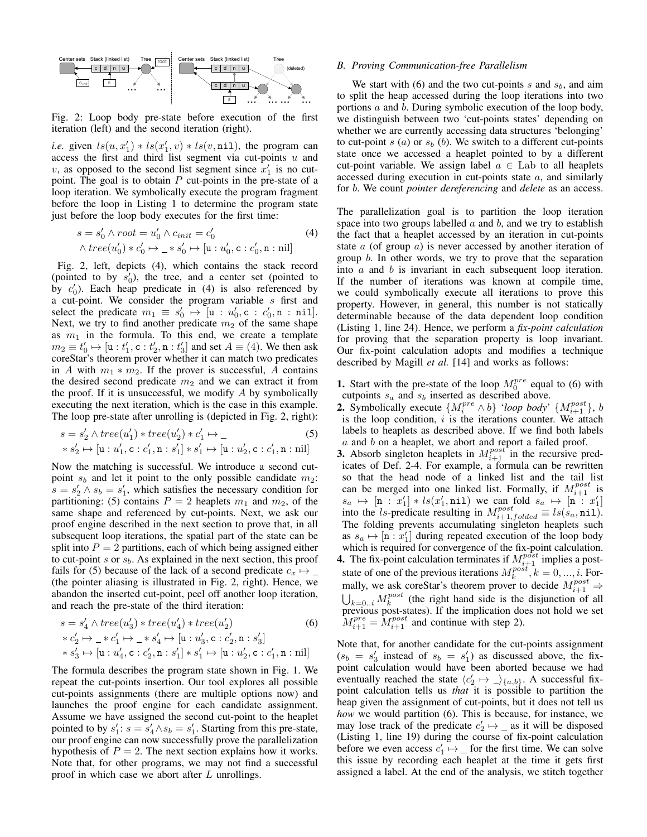

Fig. 2: Loop body pre-state before execution of the first iteration (left) and the second iteration (right).

*i.e.* given  $ls(u, x_1') * ls(x_1', v) * ls(v, \texttt{nil})$ , the program can access the first and third list segment via cut-points  $u$  and v, as opposed to the second list segment since  $x_1$  is no cutpoint. The goal is to obtain  $P$  cut-points in the pre-state of a loop iteration. We symbolically execute the program fragment before the loop in Listing 1 to determine the program state just before the loop body executes for the first time:

$$
s = s'_0 \land root = u'_0 \land c_{init} = c'_0
$$
  
 
$$
\land tree(u'_0) * c'_0 \mapsto {}_*s'_0 \mapsto [u : u'_0, c : c'_0, n : nil]
$$
 (4)

Fig. 2, left, depicts (4), which contains the stack record (pointed to by  $\hat{s}'_0$ ), the tree, and a center set (pointed to by  $c'_0$ ). Each heap predicate in (4) is also referenced by a cut-point. We consider the program variable s first and select the predicate  $m_1 \equiv s'_0 \mapsto [u : u'_0, c : c'_0, n : nil].$ Next, we try to find another predicate  $m_2$  of the same shape as  $m_1$  in the formula. To this end, we create a template  $m_2 \equiv t'_0 \mapsto [\mathbf{u} : t'_1, \mathbf{c} : t'_2, \mathbf{n} : t'_3]$  and set  $A \equiv (4)$ . We then ask coreStar's theorem prover whether it can match two predicates in A with  $m_1 * m_2$ . If the prover is successful, A contains the desired second predicate  $m_2$  and we can extract it from the proof. If it is unsuccessful, we modify  $A$  by symbolically executing the next iteration, which is the case in this example. The loop pre-state after unrolling is (depicted in Fig. 2, right):

$$
s = s'_2 \land tree(u'_1) * tree(u'_2) * c'_1 \mapsto \_ * s'_2 \mapsto [u : u'_1, c : c'_1, n : s'_1] * s'_1 \mapsto [u : u'_2, c : c'_1, n : \text{nil}]
$$
\n(5)

Now the matching is successful. We introduce a second cutpoint  $s_b$  and let it point to the only possible candidate  $m_2$ :  $s = s'_2 \wedge s_b = s'_1$ , which satisfies the necessary condition for partitioning: (5) contains  $P = 2$  heaplets  $m_1$  and  $m_2$ , of the same shape and referenced by cut-points. Next, we ask our proof engine described in the next section to prove that, in all subsequent loop iterations, the spatial part of the state can be split into  $P = 2$  partitions, each of which being assigned either to cut-point s or  $s<sub>b</sub>$ . As explained in the next section, this proof fails for (5) because of the lack of a second predicate  $c_x \mapsto$ (the pointer aliasing is illustrated in Fig. 2, right). Hence, we abandon the inserted cut-point, peel off another loop iteration, and reach the pre-state of the third iteration:

$$
s = s'_4 \land tree(u'_3) * tree(u'_4) * tree(u'_2)
$$
  
\n
$$
* c'_2 \mapsto {}_{-} * c'_1 \mapsto {}_{-} * s'_4 \mapsto [u : u'_3, c : c'_2, n : s'_3]
$$
  
\n
$$
* s'_3 \mapsto [u : u'_4, c : c'_2, n : s'_1] * s'_1 \mapsto [u : u'_2, c : c'_1, n : \text{nil}]
$$

The formula describes the program state shown in Fig. 1. We repeat the cut-points insertion. Our tool explores all possible cut-points assignments (there are multiple options now) and launches the proof engine for each candidate assignment. Assume we have assigned the second cut-point to the heaplet pointed to by  $s'_1$ :  $s = s'_4 \wedge s_b = s'_1$ . Starting from this pre-state, our proof engine can now successfully prove the parallelization hypothesis of  $P = 2$ . The next section explains how it works. Note that, for other programs, we may not find a successful proof in which case we abort after L unrollings.

#### *B. Proving Communication-free Parallelism*

We start with (6) and the two cut-points  $s$  and  $s<sub>b</sub>$ , and aim to split the heap accessed during the loop iterations into two portions a and b. During symbolic execution of the loop body, we distinguish between two 'cut-points states' depending on whether we are currently accessing data structures 'belonging' to cut-point s (a) or  $s<sub>b</sub>$  (b). We switch to a different cut-points state once we accessed a heaplet pointed to by a different cut-point variable. We assign label  $a \in$  Lab to all heaplets accessed during execution in cut-points state a, and similarly for b. We count *pointer dereferencing* and *delete* as an access.

The parallelization goal is to partition the loop iteration space into two groups labelled  $a$  and  $b$ , and we try to establish the fact that a heaplet accessed by an iteration in cut-points state  $a$  (of group  $a$ ) is never accessed by another iteration of group b. In other words, we try to prove that the separation into a and b is invariant in each subsequent loop iteration. If the number of iterations was known at compile time, we could symbolically execute all iterations to prove this property. However, in general, this number is not statically determinable because of the data dependent loop condition (Listing 1, line 24). Hence, we perform a *fix-point calculation* for proving that the separation property is loop invariant. Our fix-point calculation adopts and modifies a technique described by Magill *et al.* [14] and works as follows:

**1.** Start with the pre-state of the loop  $M_0^{pre}$  equal to (6) with cutpoints  $s_a$  and  $s_b$  inserted as described above.

**2.** Symbolically execute  $\{M_i^{pre} \wedge b\}$  '*loop body*'  $\{M_{i+1}^{post}\}, b$ is the loop condition,  $i$  is the iterations counter. We attach labels to heaplets as described above. If we find both labels  $a$  and  $b$  on a heaplet, we abort and report a failed proof.

**3.** Absorb singleton heaplets in  $M_{i+1}^{post}$  in the recursive predicates of Def. 2-4. For example, a formula can be rewritten so that the head node of a linked list and the tail list can be merged into one linked list. Formally, if  $M_{i+1}^{post}$  is  $s_a \mapsto [\mathbf{n} : x_1'] * ls(x_1', \mathbf{nil})$  we can fold  $s_a \mapsto [\mathbf{n} : x_1']$ into the ls-predicate resulting in  $M_{i+1,folded}^{post} \equiv ls(s_a, \texttt{nil}).$ The folding prevents accumulating singleton heaplets such as  $s_a \mapsto [n : x_1']$  during repeated execution of the loop body as  $s_a \mapsto [\mu : x_1]$  during repeated execution of the foop body<br>which is required for convergence of the fix-point calculation. **4.** The fix-point calculation terminates if  $M_{i+1}^{post}$  implies a poststate of one of the previous iterations  $M_k^{post}$ ,  $k = 0, ..., i$ . Formally, we ask coreStar's theorem prover to decide  $M_{i+1}^{post} \Rightarrow$  $\bigcup_{k=0..i} M_k^{post}$  (the right hand side is the disjunction of all previous post-states). If the implication does not hold we set  $M_{i+1}^{pre} = M_{i+1}^{post}$  and continue with step 2).

Note that, for another candidate for the cut-points assignment  $(s_b = s'_3$  instead of  $s_b = s'_1$ ) as discussed above, the fixpoint calculation would have been aborted because we had eventually reached the state  $\langle c'_2 \mapsto \_)_{\{a,b\}}$ . A successful fixpoint calculation tells us *that* it is possible to partition the heap given the assignment of cut-points, but it does not tell us *how* we would partition (6). This is because, for instance, we may lose track of the predicate  $c'_2 \mapsto$  \_ as it will be disposed (Listing 1, line 19) during the course of fix-point calculation before we even access  $c'_1 \mapsto \_$  for the first time. We can solve this issue by recording each heaplet at the time it gets first assigned a label. At the end of the analysis, we stitch together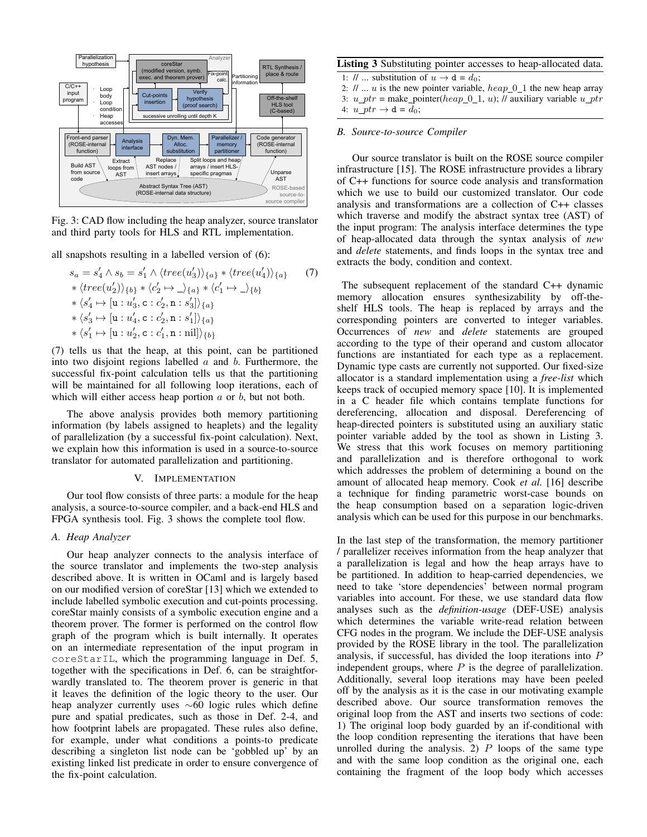

Fig. 3: CAD flow including the heap analyzer, source translator and third party tools for HLS and RTL implementation.

all snapshots resulting in a labelled version of (6):

$$
s_a = s'_4 \wedge s_b = s'_1 \wedge \langle tree(u'_3) \rangle_{\{a\}} * \langle tree(u'_4) \rangle_{\{a\}} \qquad (7)
$$
  
\n
$$
* \langle tree(u'_2) \rangle_{\{b\}} * \langle c'_2 \mapsto \rangle_{\{a\}} * \langle c'_1 \mapsto \rangle_{\{b\}}
$$
  
\n
$$
* \langle s'_4 \mapsto [u : u'_3, c : c'_2, n : s'_3] \rangle_{\{a\}}
$$
  
\n
$$
* \langle s'_3 \mapsto [u : u'_4, c : c'_2, n : s'_1] \rangle_{\{a\}}
$$
  
\n
$$
* \langle s'_1 \mapsto [u : u'_2, c : c'_1, n : \text{nil}] \rangle_{\{b\}}
$$

(7) tells us that the heap, at this point, can be partitioned into two disjoint regions labelled  $a$  and  $b$ . Furthermore, the successful fix-point calculation tells us that the partitioning will be maintained for all following loop iterations, each of which will either access heap portion  $a$  or  $b$ , but not both.

The above analysis provides both memory partitioning information (by labels assigned to heaplets) and the legality of parallelization (by a successful fix-point calculation). Next, we explain how this information is used in a source-to-source translator for automated parallelization and partitioning.

#### V. IMPLEMENTATION

Our tool flow consists of three parts: a module for the heap analysis, a source-to-source compiler, and a back-end HLS and FPGA synthesis tool. Fig. 3 shows the complete tool flow.

#### *A. Heap Analyzer*

Our heap analyzer connects to the analysis interface of the source translator and implements the two-step analysis described above. It is written in OCaml and is largely based on our modified version of coreStar [13] which we extended to include labelled symbolic execution and cut-points processing. coreStar mainly consists of a symbolic execution engine and a theorem prover. The former is performed on the control flow graph of the program which is built internally. It operates on an intermediate representation of the input program in coreStarIL, which the programming language in Def. 5, together with the specifications in Def. 6, can be straightforwardly translated to. The theorem prover is generic in that it leaves the definition of the logic theory to the user. Our heap analyzer currently uses ∼60 logic rules which define pure and spatial predicates, such as those in Def. 2-4, and how footprint labels are propagated. These rules also define, for example, under what conditions a points-to predicate describing a singleton list node can be 'gobbled up' by an existing linked list predicate in order to ensure convergence of the fix-point calculation.

# Listing 3 Substituting pointer accesses to heap-allocated data.

- 1: // ... substitution of  $u \rightarrow d = d_0$ ;
- 2:  $\pi$   $\ldots$   $\pi$  is the new pointer variable,  $heap_0_1$  the new heap array 3:  $u\_ptr$  = make\_pointer(heap\_0\_1, u); // auxiliary variable  $u\_ptr$

4:  $u\_ptr \rightarrow d = d_0;$ 

# *B. Source-to-source Compiler*

Our source translator is built on the ROSE source compiler infrastructure [15]. The ROSE infrastructure provides a library of C++ functions for source code analysis and transformation which we use to build our customized translator. Our code analysis and transformations are a collection of C++ classes which traverse and modify the abstract syntax tree (AST) of the input program: The analysis interface determines the type of heap-allocated data through the syntax analysis of *new* and *delete* statements, and finds loops in the syntax tree and extracts the body, condition and context.

The subsequent replacement of the standard C++ dynamic memory allocation ensures synthesizability by off-theshelf HLS tools. The heap is replaced by arrays and the corresponding pointers are converted to integer variables. Occurrences of *new* and *delete* statements are grouped according to the type of their operand and custom allocator functions are instantiated for each type as a replacement. Dynamic type casts are currently not supported. Our fixed-size allocator is a standard implementation using a *free-list* which keeps track of occupied memory space [10]. It is implemented in a C header file which contains template functions for dereferencing, allocation and disposal. Dereferencing of heap-directed pointers is substituted using an auxiliary static pointer variable added by the tool as shown in Listing 3. We stress that this work focuses on memory partitioning and parallelization and is therefore orthogonal to work which addresses the problem of determining a bound on the amount of allocated heap memory. Cook *et al.* [16] describe a technique for finding parametric worst-case bounds on the heap consumption based on a separation logic-driven analysis which can be used for this purpose in our benchmarks.

In the last step of the transformation, the memory partitioner / parallelizer receives information from the heap analyzer that a parallelization is legal and how the heap arrays have to be partitioned. In addition to heap-carried dependencies, we need to take 'store dependencies' between normal program variables into account. For these, we use standard data flow analyses such as the *definition-usage* (DEF-USE) analysis which determines the variable write-read relation between CFG nodes in the program. We include the DEF-USE analysis provided by the ROSE library in the tool. The parallelization analysis, if successful, has divided the loop iterations into P independent groups, where  $P$  is the degree of parallelization. Additionally, several loop iterations may have been peeled off by the analysis as it is the case in our motivating example described above. Our source transformation removes the original loop from the AST and inserts two sections of code: 1) The original loop body guarded by an if-conditional with the loop condition representing the iterations that have been unrolled during the analysis. 2)  $P$  loops of the same type and with the same loop condition as the original one, each containing the fragment of the loop body which accesses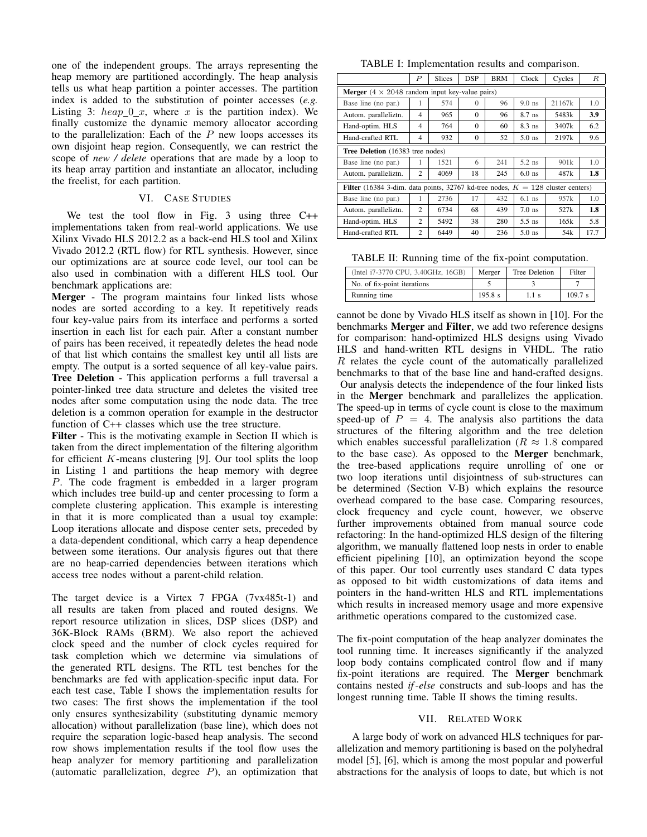one of the independent groups. The arrays representing the heap memory are partitioned accordingly. The heap analysis tells us what heap partition a pointer accesses. The partition index is added to the substitution of pointer accesses (*e.g.* Listing 3: heap  $0 \, x$ , where  $x$  is the partition index). We finally customize the dynamic memory allocator according to the parallelization: Each of the  $P$  new loops accesses its own disjoint heap region. Consequently, we can restrict the scope of *new / delete* operations that are made by a loop to its heap array partition and instantiate an allocator, including the freelist, for each partition.

# VI. CASE STUDIES

We test the tool flow in Fig. 3 using three C++ implementations taken from real-world applications. We use Xilinx Vivado HLS 2012.2 as a back-end HLS tool and Xilinx Vivado 2012.2 (RTL flow) for RTL synthesis. However, since our optimizations are at source code level, our tool can be also used in combination with a different HLS tool. Our benchmark applications are:

Merger - The program maintains four linked lists whose nodes are sorted according to a key. It repetitively reads four key-value pairs from its interface and performs a sorted insertion in each list for each pair. After a constant number of pairs has been received, it repeatedly deletes the head node of that list which contains the smallest key until all lists are empty. The output is a sorted sequence of all key-value pairs. Tree Deletion - This application performs a full traversal a pointer-linked tree data structure and deletes the visited tree nodes after some computation using the node data. The tree deletion is a common operation for example in the destructor function of C++ classes which use the tree structure.

Filter - This is the motivating example in Section II which is taken from the direct implementation of the filtering algorithm for efficient  $K$ -means clustering [9]. Our tool splits the loop in Listing 1 and partitions the heap memory with degree P. The code fragment is embedded in a larger program which includes tree build-up and center processing to form a complete clustering application. This example is interesting in that it is more complicated than a usual toy example: Loop iterations allocate and dispose center sets, preceded by a data-dependent conditional, which carry a heap dependence between some iterations. Our analysis figures out that there are no heap-carried dependencies between iterations which access tree nodes without a parent-child relation.

The target device is a Virtex 7 FPGA (7vx485t-1) and all results are taken from placed and routed designs. We report resource utilization in slices, DSP slices (DSP) and 36K-Block RAMs (BRM). We also report the achieved clock speed and the number of clock cycles required for task completion which we determine via simulations of the generated RTL designs. The RTL test benches for the benchmarks are fed with application-specific input data. For each test case, Table I shows the implementation results for two cases: The first shows the implementation if the tool only ensures synthesizability (substituting dynamic memory allocation) without parallelization (base line), which does not require the separation logic-based heap analysis. The second row shows implementation results if the tool flow uses the heap analyzer for memory partitioning and parallelization (automatic parallelization, degree  $P$ ), an optimization that

TABLE I: Implementation results and comparison.

|                                                                                   | P              | <b>Slices</b> | <b>DSP</b> | <b>BRM</b> | Clock    | Cycles           | R    |  |
|-----------------------------------------------------------------------------------|----------------|---------------|------------|------------|----------|------------------|------|--|
| <b>Merger</b> (4 $\times$ 2048 random input key-value pairs)                      |                |               |            |            |          |                  |      |  |
| Base line (no par.)                                                               |                | 574           | $\Omega$   | 96         | $9.0$ ns | 21167k           | 1.0  |  |
| Autom. paralleliztn.                                                              | $\overline{4}$ | 965           | $\Omega$   | 96         | $8.7$ ns | 5483k            | 3.9  |  |
| Hand-optim. HLS                                                                   | 4              | 764           | $\Omega$   | 60         | $8.3$ ns | 3407k            | 6.2  |  |
| Hand-crafted RTL                                                                  | $\overline{4}$ | 932           | $\Omega$   | 52         | $5.0$ ns | 2197k            | 9.6  |  |
| Tree Deletion (16383 tree nodes)                                                  |                |               |            |            |          |                  |      |  |
| Base line (no par.)                                                               | 1              | 1521          | 6          | 241        | $5.2$ ns | 901 <sub>k</sub> | 1.0  |  |
| Autom. paralleliztn.                                                              | $\overline{c}$ | 4069          | 18         | 245        | $6.0$ ns | 487k             | 1.8  |  |
| Filter (16384 3-dim. data points, 32767 kd-tree nodes, $K = 128$ cluster centers) |                |               |            |            |          |                  |      |  |
| Base line (no par.)                                                               | 1              | 2736          | 17         | 432        | $6.1$ ns | 957k             | 1.0  |  |
| Autom. paralleliztn.                                                              | $\overline{c}$ | 6734          | 68         | 439        | $7.0$ ns | 527k             | 1.8  |  |
| Hand-optim. HLS                                                                   | 2              | 5492          | 38         | 280        | $5.5$ ns | 165k             | 5.8  |  |
| Hand-crafted RTL                                                                  | $\overline{c}$ | 6449          | 40         | 236        | $5.0$ ns | 54k              | 17.7 |  |

TABLE II: Running time of the fix-point computation.

| (Intel i7-3770 CPU, 3.40GHz, 16GB) | Merger  | Tree Deletion | Filter  |
|------------------------------------|---------|---------------|---------|
| No. of fix-point iterations        |         |               |         |
| Running time                       | 195.8 s | 1.1 s         | 109.7 s |

cannot be done by Vivado HLS itself as shown in [10]. For the benchmarks Merger and Filter, we add two reference designs for comparison: hand-optimized HLS designs using Vivado HLS and hand-written RTL designs in VHDL. The ratio R relates the cycle count of the automatically parallelized benchmarks to that of the base line and hand-crafted designs. Our analysis detects the independence of the four linked lists in the Merger benchmark and parallelizes the application. The speed-up in terms of cycle count is close to the maximum speed-up of  $P = 4$ . The analysis also partitions the data structures of the filtering algorithm and the tree deletion which enables successful parallelization ( $R \approx 1.8$  compared to the base case). As opposed to the Merger benchmark, the tree-based applications require unrolling of one or two loop iterations until disjointness of sub-structures can be determined (Section V-B) which explains the resource overhead compared to the base case. Comparing resources, clock frequency and cycle count, however, we observe further improvements obtained from manual source code refactoring: In the hand-optimized HLS design of the filtering algorithm, we manually flattened loop nests in order to enable efficient pipelining [10], an optimization beyond the scope of this paper. Our tool currently uses standard C data types as opposed to bit width customizations of data items and pointers in the hand-written HLS and RTL implementations which results in increased memory usage and more expensive arithmetic operations compared to the customized case.

The fix-point computation of the heap analyzer dominates the tool running time. It increases significantly if the analyzed loop body contains complicated control flow and if many fix-point iterations are required. The Merger benchmark contains nested *if*-*else* constructs and sub-loops and has the longest running time. Table II shows the timing results.

#### VII. RELATED WORK

A large body of work on advanced HLS techniques for parallelization and memory partitioning is based on the polyhedral model [5], [6], which is among the most popular and powerful abstractions for the analysis of loops to date, but which is not